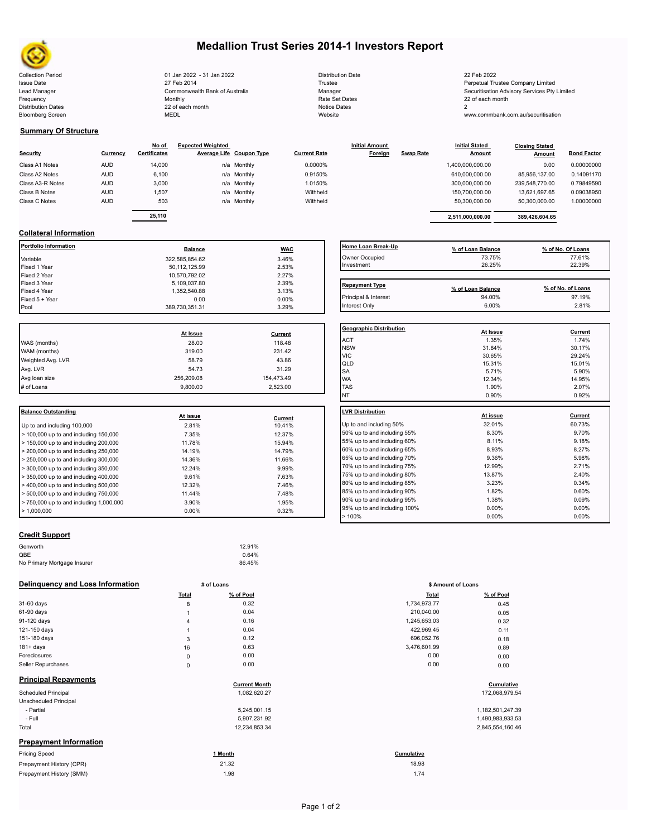

# **Medallion Trust Series 2014-1 Investors Report**

Collection Period 01 Jan 2022 - 31 Jan 2022 Distribution Date 22 Feb 2022 Issue Date 2014 27 Feb 2014 27 Feb 2014 27 Feb 2014 27 Feb 2014 27 Feb 2014 28 Feretual Trustee Company Limited Lead Manager **Commonwealth Bank of Australia** Manager Manager Securitisation Advisory Services Pty Limited Frequency and the Monthly Monthly Monthly Rate Set Dates Rate Set Dates 22 of each month Distribution Dates 22 of each month Notice Dates 22 of each month Notice Dates 2 Bloomberg Screen MEDL Website www.commbank.com.au/securitisation

| <b>Distribution Date</b> |
|--------------------------|
| Trustee                  |
| Manager                  |
| Rate Set Dates           |
| <b>Notice Dates</b>      |
| Website                  |

## **Summary Of Structure**

| Security         | Currency   | No of<br><b>Certificates</b> | <b>Expected Weighted</b><br>Average Life Coupon Type | <b>Current Rate</b> | <b>Initial Amount</b><br>Foreign | <b>Swap Rate</b> | <b>Initial Stated</b><br><b>Amount</b> | <b>Closing Stated</b><br>Amount | <b>Bond Factor</b> |
|------------------|------------|------------------------------|------------------------------------------------------|---------------------|----------------------------------|------------------|----------------------------------------|---------------------------------|--------------------|
| Class A1 Notes   | <b>AUD</b> | 14,000                       | n/a Monthly                                          | 0.0000%             |                                  |                  | 1,400,000,000.00                       | 0.00                            | 0.00000000         |
| Class A2 Notes   | <b>AUD</b> | 6,100                        | n/a Monthly                                          | 0.9150%             |                                  |                  | 610.000.000.00                         | 85.956.137.00                   | 0.14091170         |
| Class A3-R Notes | <b>AUD</b> | 3,000                        | n/a Monthly                                          | 1.0150%             |                                  |                  | 300,000,000.00                         | 239.548.770.00                  | 0.79849590         |
| Class B Notes    | <b>AUD</b> | 1.507                        | n/a Monthly                                          | Withheld            |                                  |                  | 150,700,000.00                         | 13.621.697.65                   | 0.09038950         |
| Class C Notes    | <b>AUD</b> | 503                          | n/a Monthly                                          | Withheld            |                                  |                  | 50.300.000.00                          | 50.300.000.00                   | 1.00000000         |
|                  |            | 25.110                       |                                                      |                     |                                  |                  |                                        |                                 |                    |
|                  |            |                              |                                                      |                     |                                  |                  | 2.511.000.000.00                       | 389.426.604.65                  |                    |

## **Collateral Information**

| Portfolio Information | <b>Balance</b> | <b>WAC</b> | Home Loan Break-Up    | % of Loan Balance | % of No. Of Loans |
|-----------------------|----------------|------------|-----------------------|-------------------|-------------------|
| Variable              | 322,585,854.62 | 3.46%      | Owner Occupied        | 73.75%            | 77.61%            |
| Fixed 1 Year          | 50,112,125.99  | 2.53%      | Investment            | 26.25%            | 22.39%            |
| Fixed 2 Year          | 10,570,792.02  | 2.27%      |                       |                   |                   |
| Fixed 3 Year          | 5,109,037.80   | 2.39%      | <b>Repayment Type</b> |                   |                   |
| Fixed 4 Year          | 1,352,540.88   | 3.13%      |                       | % of Loan Balance | % of No. of Loans |
| Fixed 5 + Year        | 0.00           | $0.00\%$   | Principal & Interest  | 94.00%            | 97.19%            |
| Pool                  | 389,730,351.31 | 3.29%      | Interest Only         | 6.00%             | 2.81%             |

|                   |            |            | Geo              |
|-------------------|------------|------------|------------------|
|                   | At Issue   | Current    |                  |
| WAS (months)      | 28.00      | 118.48     | AC <sup>-</sup>  |
| WAM (months)      | 319.00     | 231.42     | <b>NS</b><br>VIC |
| Weighted Avg. LVR | 58.79      | 43.86      | QLI              |
| Avg. LVR          | 54.73      | 31.29      | <b>SA</b>        |
| Avg loan size     | 256,209.08 | 154,473.49 | <b>WA</b>        |
| # of Loans        | 9.800.00   | 2.523.00   | <b>TAS</b>       |
|                   |            |            |                  |

| <b>Balance Outstanding</b>                                | At issue | Current | LVR Distribution    |
|-----------------------------------------------------------|----------|---------|---------------------|
| Up to and including 100,000                               | 2.81%    | 10.41%  | Up to and including |
| $>$ 100,000 up to and including 150,000                   | 7.35%    | 12.37%  | 50% up to and incl  |
| $>$ 150,000 up to and including 200,000                   | 11.78%   | 15.94%  | 55% up to and incl  |
| $>$ 200,000 up to and including 250,000                   | 14.19%   | 14.79%  | 60% up to and incl  |
| $\geq$ 250,000 up to and including 300,000                | 14.36%   | 11.66%  | 65% up to and incl  |
| $\geq$ 300,000 up to and including 350,000                | 12.24%   | 9.99%   | 70% up to and incl  |
| $\blacktriangleright$ 350,000 up to and including 400,000 | 9.61%    | 7.63%   | 75% up to and incl  |
| $>$ 400,000 up to and including 500,000                   | 12.32%   | 7.46%   | 80% up to and incl  |
| $>$ 500,000 up to and including 750,000                   | 11.44%   | 7.48%   | 85% up to and incl  |
| $> 750,000$ up to and including 1,000,000                 | 3.90%    | 1.95%   | 90% up to and incl  |
| $\blacktriangleright$ 1.000.000                           | $0.00\%$ | 0.32%   | 95% up to and incl  |
|                                                           |          |         |                     |

## **Home Loan Break-Up % of Loan Balance % of No. Of Loans** Owner Occupied 73.75% 77.61% 77.61% 77.61% 77.61%  $Investment$  26.25% 22.39% 20.25% 20.25% 22.39% 20.25% 20.25% 20.25% 20.25% 20.25% 20.25% 20.25% 20.25% 20.25% 20.25% 20.25% 20.25% 20.25% 20.25% 20.25% 20.25% 20.25% 20.25% 20.25% 20.25% 20.25% 20.25% 20.25% 20.25% 20.25% 20.25% Repayment Type **Repayment Type % of Loan Balance % of No. of Loans** Interest Only the control of the control of the control of the control of the control of the control of the control of the control of the control of the control of the control of the control of the control of the control o

| <b>Geographic Distribution</b> | At Issue | Current        |
|--------------------------------|----------|----------------|
| ACT                            | 1.35%    | 1.74%          |
| <b>NSW</b>                     | 31.84%   | 30.17%         |
| <b>VIC</b>                     | 30.65%   | 29.24%         |
| QLD                            | 15.31%   | 15.01%         |
| SA                             | 5.71%    | 5.90%          |
| <b>WA</b>                      | 12.34%   | 14.95%         |
| <b>TAS</b>                     | 1.90%    | 2.07%          |
| <b>NT</b>                      | 0.90%    | 0.92%          |
| <b>LVR Distribution</b>        | At issue | <b>Current</b> |
| Up to and including 50%        | 32.01%   | 60.73%         |
| 50% up to and including 55%    | 8.30%    | 9.70%          |
| 55% up to and including 60%    | 8.11%    | 9.18%          |
| 60% up to and including 65%    | 8.93%    | 8.27%          |
| 65% up to and including 70%    | 9.36%    | 5.98%          |
| 70% up to and including 75%    | 12.99%   | 2.71%          |
| 75% up to and including 80%    | 13.87%   | 2.40%          |
| 80% up to and including 85%    | 3.23%    | 0.34%          |
| 85% up to and including 90%    | 1.82%    | 0.60%          |
| 90% up to and including 95%    | 1.38%    | 0.09%          |
| 95% up to and including 100%   | 0.00%    | $0.00\%$       |
| >100%                          | 0.00%    | $0.00\%$       |

## **Credit Support**

| Genworth                    | 12.91% |
|-----------------------------|--------|
| QBE                         | 0.64%  |
| No Primary Mortgage Insurer | 86.45% |

### **Delinquency and Loss Information # of Loans**

|                               | <b>Total</b>   | % of Pool            | <b>Total</b> | % of Pool        |  |
|-------------------------------|----------------|----------------------|--------------|------------------|--|
| 31-60 days                    | 8              | 0.32                 | 1,734,973.77 | 0.45             |  |
| 61-90 days                    |                | 0.04                 | 210,040.00   | 0.05             |  |
| 91-120 days                   | $\overline{4}$ | 0.16                 | 1,245,653.03 | 0.32             |  |
| 121-150 days                  |                | 0.04                 | 422,969.45   | 0.11             |  |
| 151-180 days                  | 3              | 0.12                 | 696,052.76   | 0.18             |  |
| $181 + days$                  | 16             | 0.63                 | 3,476,601.99 | 0.89             |  |
| Foreclosures                  | $\mathbf 0$    | 0.00                 | 0.00         | 0.00             |  |
| Seller Repurchases            | $\mathsf 0$    | 0.00                 | 0.00         | 0.00             |  |
| <b>Principal Repayments</b>   |                | <b>Current Month</b> |              | Cumulative       |  |
| Scheduled Principal           |                | 1,082,620.27         |              | 172,068,979.54   |  |
| Unscheduled Principal         |                |                      |              |                  |  |
| - Partial                     |                | 5,245,001.15         |              | 1,182,501,247.39 |  |
| - Full                        |                | 5,907,231.92         |              | 1,490,983,933.53 |  |
| Total                         |                | 12,234,853.34        |              | 2,845,554,160.46 |  |
| <b>Prepayment Information</b> |                |                      |              |                  |  |
| <b>Pricing Speed</b>          |                | 1 Month              | Cumulative   |                  |  |
| Prepayment History (CPR)      |                | 21.32                | 18.98        |                  |  |
| Prepayment History (SMM)      |                | 1.98                 | 1.74         |                  |  |

| # of Loans |                      | \$ Amount of Loans |                |  |
|------------|----------------------|--------------------|----------------|--|
| Total      | % of Pool            | <b>Total</b>       | % of Pool      |  |
| 8          | 0.32                 | 1,734,973.77       | 0.45           |  |
| 1          | 0.04                 | 210,040.00         | 0.05           |  |
| 4          | 0.16                 | 1,245,653.03       | 0.32           |  |
| 1          | 0.04                 | 422,969.45         | 0.11           |  |
| 3          | 0.12                 | 696,052.76         | 0.18           |  |
| 16         | 0.63                 | 3,476,601.99       | 0.89           |  |
| 0          | 0.00                 | 0.00               | 0.00           |  |
| 0          | 0.00                 | 0.00               | 0.00           |  |
|            | <b>Current Month</b> |                    | Cumulative     |  |
|            | 1,082,620.27         |                    | 172,068,979.54 |  |

| 1,182,501,247.3  |
|------------------|
| 1,490,983,933.53 |
| 2.845.554.160.4  |